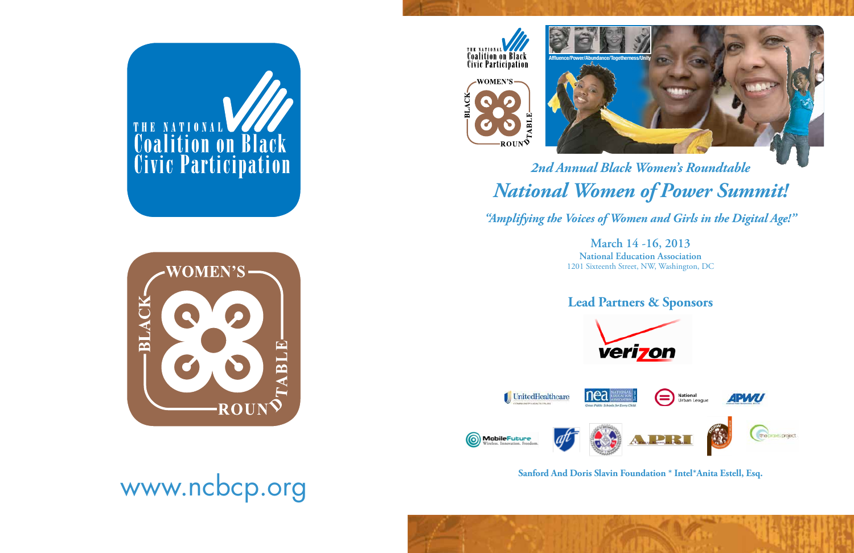



*2nd Annual Black Women's Roundtable*

# *National Women of Power Summit!*

*"Amplifying the Voices of Women and Girls in the Digital Age!"*

**March 14 -16, 2013 National Education Association**  1201 Sixteenth Street, NW, Washington, DC













# **Sanford And Doris Slavin Foundation \* Intel\*Anita Estell, Esq.** Sanford And Doris Slavin Foundation \* Intel\*Anita Estell, Esq.

**Lead Partners & Sponsors**

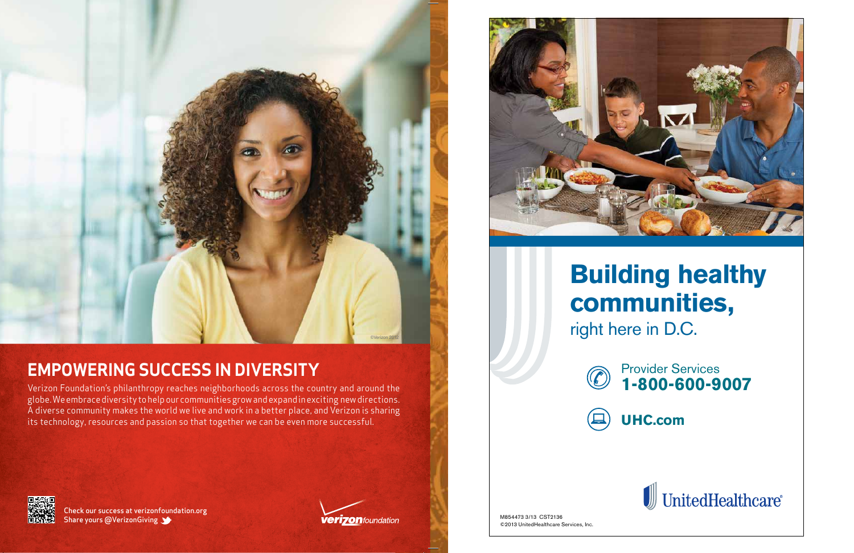Verizon Foundation's philanthropy reaches neighborhoods across the country and around the globe. We embrace diversity to help our communities grow and expand in exciting new directions. A diverse community makes the world we live and work in a better place, and Verizon is sharing its technology, resources and passion so that together we can be even more successful.



Check our success at verizonfoundation.org Share yours @VerizonGiving







# **EMPOWERING SUCCESS IN DIVERSITY**

# **Building healthy communities,** right here in D.C.

Provider Services **1-800-600-9007**

**UHC.com**

UnitedHealthcare®

M854473 3/13 CST2136 ©2013 UnitedHealthcare Services, Inc.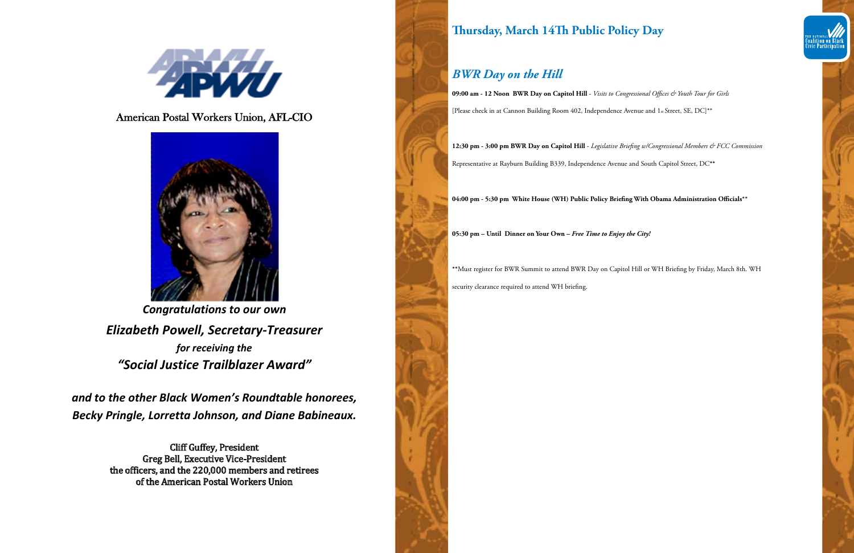# **Thursday, March 14Th Public Policy Day**

**09:00 am - 12 Noon BWR Day on Capitol Hill** - *Visits to Congressional Offices & Youth Tour for Girls* [Please check in at Cannon Building Room 402, Independence Avenue and 1st Street, SE, DC]\*\*

# *BWR Day on the Hill*

**12:30 pm - 3:00 pm BWR Day on Capitol Hill** - *Legislative Briefing w/Congressional Members & FCC Commission* Representative at Rayburn Building B339, Independence Avenue and South Capitol Street, DC**\*\*** 

**04:00 pm - 5:30 pm White House (WH) Public Policy Briefing With Obama Administration Officials\*\*** 

**05:30 pm – Until Dinner on Your Own –** *Free Time to Enjoy the City!* 

**\*\***Must register for BWR Summit to attend BWR Day on Capitol Hill or WH Briefing by Friday, March 8th. WH

security clearance required to attend WH briefing.





## American Postal Workers Union, AFL-CIO



*Congratulations to our own Elizabeth Powell, Secretary-Treasurer for receiving the "Social Justice Trailblazer Award"*

*and to the other Black Women's Roundtable honorees, Becky Pringle, Lorretta Johnson, and Diane Babineaux.*

> Cliff Guffey, President Greg Bell, Executive Vice-President the officers, and the 220,000 members and retirees of the American Postal Workers Union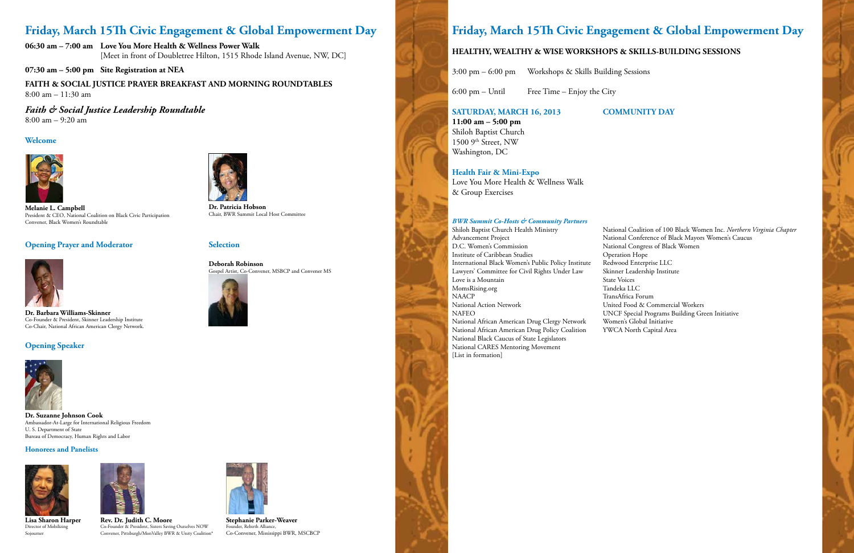# **Friday, March 15Th Civic Engagement & Global Empowerment Day**

**06:30 am – 7:00 am Love You More Health & Wellness Power Walk** [Meet in front of Doubletree Hilton, 1515 Rhode Island Avenue, NW, DC]

#### **07:30 am – 5:00 pm Site Registration at NEA**

**FAITH & SOCIAL JUSTICE PRAYER BREAKFAST AND MORNING ROUNDTABLES** 8:00 am – 11:30 am

*Faith & Social Justice Leadership Roundtable* 8:00 am – 9:20 am

#### **Welcome**



**Melanie L. Campbell** President & CEO, National Coalition on Black Civic Participation Convener, Black Women's Roundtable

#### **Opening Prayer and Moderator**



**Dr. Barbara Williams-Skinner** Co-Founder & President, Skinner Leadership Institute Co-Chair, National African American Clergy Network.

### **Opening Speaker**



**Dr. Suzanne Johnson Cook** Ambassador-At-Large for International Religious Freedom U. S. Department of State Bureau of Democracy, Human Rights and Labor



**Dr. Patricia Hobson** Chair, BWR Summit Local Host Committee

#### **Selection**

**Deborah Robinson** Gospel Artist, Co-Convener, MSBCP and Convener MS





Co-Founder & President, Sisters Saving Ourselves NOW Founder, Rebirth Alliance,<br>Convener, Pittsburgh/MonValley BWR & Unity Coalition\* Co-Convener, Mississippi BWR, MSCBCP

#### **Honorees and Panelists**





**Lisa Sharon Harper Rev. Dr. Judith C. Moore Stephanie Parker-Weaver** *Director of Mobilizing Co-Founder & President, Sisters Saving Ourselves NOW Founder, Rebirth Alliance,* Sojourner Convener, Pittsburgh/MonValley BWR & Unity Coalition\*

Shiloh Baptist Church Health Ministry National Coalition of 100 Black Women Inc. *Northern Virginia Chapter* Advancement Project National Conference of Black Mayors Women's Caucus National Congress of Black Women NAFEO UNCF Special Programs Building Green Initiative

# **Friday, March 15Th Civic Engagement & Global Empowerment Day**

## **HEALTHY, WEALTHY & WISE WORKSHOPS & SKILLS-BUILDING SESSIONS**

3:00 pm – 6:00 pm Workshops & Skills Building Sessions

 $6:00 \text{ pm} - \text{Until}$  Free Time – Enjoy the City

## **SATURDAY, MARCH 16, 2013 COMMUNITY DAY**

**11:00 am – 5:00 pm**

Shiloh Baptist Church  $1500$  9<sup>th</sup> Street, NW Washington, DC

[List in formation]

**Health Fair & Mini-Expo**

Love You More Health & Wellness Walk & Group Exercises

#### *BWR Summit Co-Hosts & Community Partners*

Institute of Caribbean Studies Operation Hope International Black Women's Public Policy Institute Redwood Enterprise LLC Lawyers' Committee for Civil Rights Under Law Skinner Leadership Institute Love is a Mountain<br>
MomsRising.org<br>
State Voices<br>
Tandeka LLC MomsRising.org NAACP TransAfrica Forum National Action Network United Food & Commercial Workers National African American Drug Clergy Network Women's Global Initiative National African American Drug Policy Coalition YWCA North Capital Area National Black Caucus of State Legislators National CARES Mentoring Movement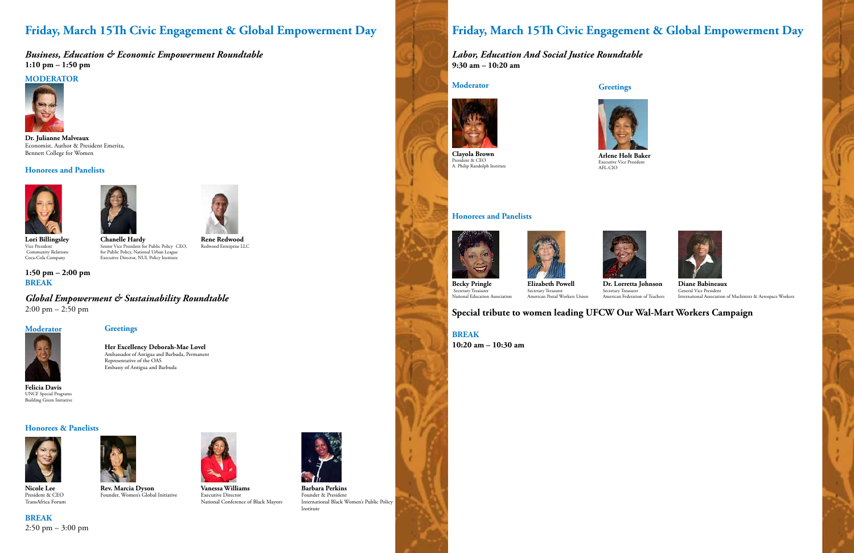# **Friday, March 15Th Civic Engagement & Global Empowerment Day**

*Labor, Education And Social Justice Roundtable* **9:30 am – 10:20 am**

#### **Moderator**







President & CEO

A. Philip Randolph Institute

#### **Honorees and Panelists**







Secretary Treasurer Secretary Treasurer Secretary Treasurer General Vice President

**Becky Pringle 19.1 Elizabeth Powell 19.1 Dr. Lorretta Johnson Diane Babineaux**<br>
Secretary Treasurer Secretary Treasurer Secretary Treasurer General Vice President

## **Special tribute to women leading UFCW Our Wal-Mart Workers Campaign**

**BREAK**

*Global Empowerment & Sustainability Roundtable*  $2:00 \text{ pm} - 2:50 \text{ pm}$ 

**10:20 am – 10:30 am**

**Greetings**



**Arlene Holt Baker** Executive Vice President







International Association of Machinists & Aerospace Workers



# **Friday, March 15Th Civic Engagement & Global Empowerment Day**

*Business, Education & Economic Empowerment Roundtable* **1:10 pm – 1:50 pm**



International Black Women's Public Policy Institute



### **MODERATOR**



**Dr. Julianne Malveaux** Economist, Author & President Emerita, Bennett College for Women

#### **Honorees and Panelists**





 $\overline{\phantom{a}}$ 

**Lori Billingsley Chanelle Hardy Rene Redwood**<br>
Vice President Senior Vice President for Public Policy CEO, Redwood Enterprise LLC<br>
Community Relations for Public Policy, National Urban League Community Relations for Public Policy, National Urban League<br>Coca-Cola Company Executive Director, NUL Policy Institute Executive Director, NUL Policy Institute



### **1:50 pm – 2:00 pm BREAK**



**Felicia Davis** UNCF Special Programs Building Green Initiative

#### **Honorees & Panelists**







**BREAK** 2:50 pm – 3:00 pm

#### **Greetings**

**Her Excellency Deborah-Mae Lovel** Ambassador of Antigua and Barbuda, Permanent Representative of the OAS Embassy of Antigua and Barbuda